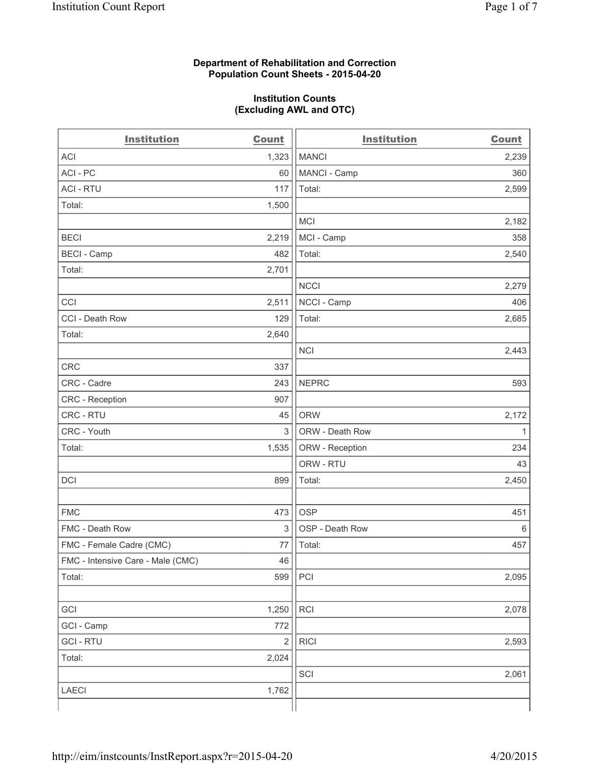## **Department of Rehabilitation and Correction Population Count Sheets - 2015-04-20**

#### **Institution Counts (Excluding AWL and OTC)**

| <b>Institution</b>                | <b>Count</b>            | <b>Institution</b> | <b>Count</b> |
|-----------------------------------|-------------------------|--------------------|--------------|
| <b>ACI</b>                        | 1,323                   | <b>MANCI</b>       | 2,239        |
| ACI - PC                          | 60                      | MANCI - Camp       | 360          |
| <b>ACI - RTU</b>                  | 117                     | Total:             | 2,599        |
| Total:                            | 1,500                   |                    |              |
|                                   |                         | <b>MCI</b>         | 2,182        |
| <b>BECI</b>                       | 2,219                   | MCI - Camp         | 358          |
| <b>BECI</b> - Camp                | 482                     | Total:             | 2,540        |
| Total:                            | 2,701                   |                    |              |
|                                   |                         | <b>NCCI</b>        | 2,279        |
| CCI                               | 2,511                   | NCCI - Camp        | 406          |
| CCI - Death Row                   | 129                     | Total:             | 2,685        |
| Total:                            | 2,640                   |                    |              |
|                                   |                         | <b>NCI</b>         | 2,443        |
| <b>CRC</b>                        | 337                     |                    |              |
| CRC - Cadre                       | 243                     | <b>NEPRC</b>       | 593          |
| <b>CRC</b> - Reception            | 907                     |                    |              |
| CRC - RTU                         | 45                      | <b>ORW</b>         | 2,172        |
| CRC - Youth                       | 3                       | ORW - Death Row    | 1            |
| Total:                            | 1,535                   | ORW - Reception    | 234          |
|                                   |                         | ORW - RTU          | 43           |
| DCI                               | 899                     | Total:             | 2,450        |
|                                   |                         |                    |              |
| <b>FMC</b>                        | 473                     | <b>OSP</b>         | 451          |
| FMC - Death Row                   | 3                       | OSP - Death Row    | 6            |
| FMC - Female Cadre (CMC)          | 77                      | Total:             | 457          |
| FMC - Intensive Care - Male (CMC) | 46                      |                    |              |
| Total:                            | 599                     | PCI                | 2,095        |
|                                   |                         |                    |              |
| GCI                               | 1,250                   | <b>RCI</b>         | 2,078        |
| GCI - Camp                        | 772                     |                    |              |
| <b>GCI-RTU</b>                    | $\overline{\mathbf{c}}$ | <b>RICI</b>        | 2,593        |
| Total:                            | 2,024                   |                    |              |
|                                   |                         | SCI                | 2,061        |
| LAECI                             | 1,762                   |                    |              |
|                                   |                         |                    |              |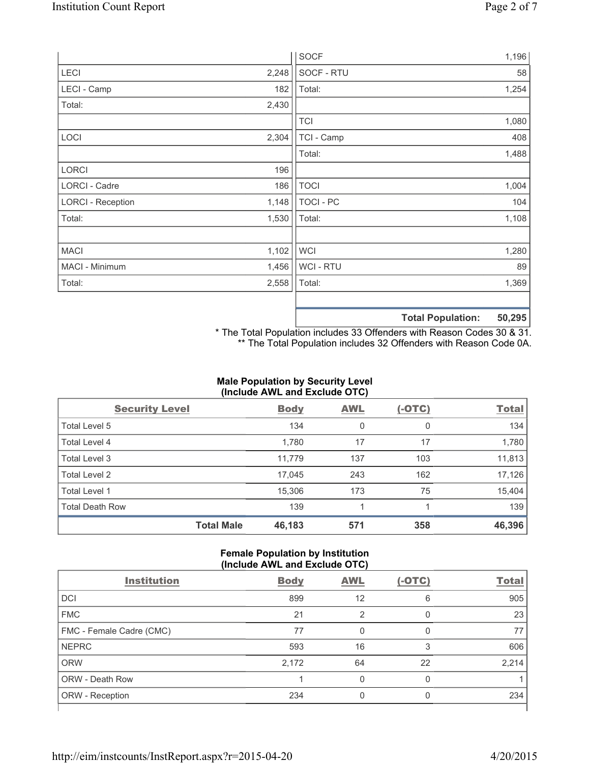|                          |       | <b>SOCF</b>    | 1,196                        |
|--------------------------|-------|----------------|------------------------------|
| <b>LECI</b>              | 2,248 | SOCF - RTU     | 58                           |
| LECI - Camp              | 182   | Total:         | 1,254                        |
| Total:                   | 2,430 |                |                              |
|                          |       | <b>TCI</b>     | 1,080                        |
| LOCI                     | 2,304 | TCI - Camp     | 408                          |
|                          |       | Total:         | 1,488                        |
| <b>LORCI</b>             | 196   |                |                              |
| LORCI - Cadre            | 186   | <b>TOCI</b>    | 1,004                        |
| <b>LORCI - Reception</b> | 1,148 | TOCI - PC      | 104                          |
| Total:                   | 1,530 | Total:         | 1,108                        |
|                          |       |                |                              |
| <b>MACI</b>              | 1,102 | <b>WCI</b>     | 1,280                        |
| MACI - Minimum           | 1,456 | <b>WCI-RTU</b> | 89                           |
| Total:                   | 2,558 | Total:         | 1,369                        |
|                          |       |                |                              |
|                          |       |                | EO OOE.<br>Tatal Damilations |

**Total Population: 50,295**

\* The Total Population includes 33 Offenders with Reason Codes 30 & 31. \*\* The Total Population includes 32 Offenders with Reason Code 0A.

# **Male Population by Security Level (Include AWL and Exclude OTC)**

| <b>Security Level</b>  |                   | <b>Body</b> | <b>AWL</b> | $(-OTC)$ | <b>Total</b> |  |
|------------------------|-------------------|-------------|------------|----------|--------------|--|
| Total Level 5          |                   | 134         | 0          | 0        | 134          |  |
| <b>Total Level 4</b>   |                   | 1,780       | 17         | 17       | 1,780        |  |
| Total Level 3          |                   | 11,779      | 137        | 103      | 11,813       |  |
| Total Level 2          |                   | 17,045      | 243        | 162      | 17,126       |  |
| <b>Total Level 1</b>   |                   | 15,306      | 173        | 75       | 15,404       |  |
| <b>Total Death Row</b> |                   | 139         |            |          | 139          |  |
|                        | <b>Total Male</b> | 46,183      | 571        | 358      | 46,396       |  |

### **Female Population by Institution (Include AWL and Exclude OTC)**

| <b>Institution</b>       | <b>Body</b> | <b>AWL</b> | $(-OTC)$ | <b>Total</b> |
|--------------------------|-------------|------------|----------|--------------|
| <b>DCI</b>               | 899         | 12         | 6        | 905          |
| <b>FMC</b>               | 21          | ာ          | 0        | 23           |
| FMC - Female Cadre (CMC) | 77          | 0          | 0        | 77           |
| <b>NEPRC</b>             | 593         | 16         | 3        | 606          |
| <b>ORW</b>               | 2,172       | 64         | 22       | 2,214        |
| <b>ORW - Death Row</b>   |             | U          | 0        |              |
| ORW - Reception          | 234         |            |          | 234          |
|                          |             |            |          |              |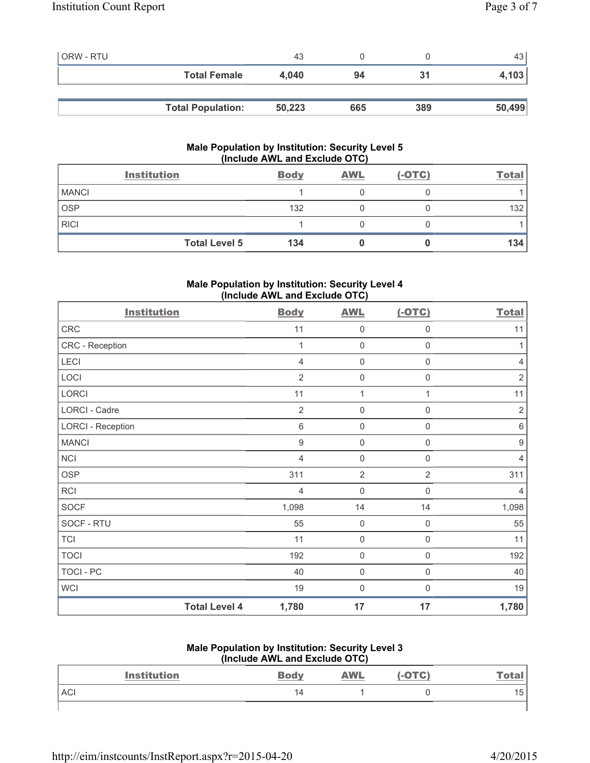| <b>ORW - RTU</b> |                          | 43     |     |     | 43 l   |
|------------------|--------------------------|--------|-----|-----|--------|
|                  | <b>Total Female</b>      | 4.040  | 94  | 31  | 4,103  |
|                  |                          |        |     |     |        |
|                  | <b>Total Population:</b> | 50,223 | 665 | 389 | 50,499 |

# **Male Population by Institution: Security Level 5 (Include AWL and Exclude OTC)**

| <b>Institution</b> |                      | <b>Body</b> | <b>AWL</b> | $(-OTC)$ | Total |
|--------------------|----------------------|-------------|------------|----------|-------|
| <b>MANCI</b>       |                      |             |            |          |       |
| <b>OSP</b>         |                      | 132         |            |          | 132   |
| <b>RICI</b>        |                      |             |            |          |       |
|                    | <b>Total Level 5</b> | 134         |            |          | 134   |

# **Male Population by Institution: Security Level 4 (Include AWL and Exclude OTC)**

| <b>Institution</b>       |                      | <b>Body</b>    | <b>AWL</b>          | $(-OTC)$            | <b>Total</b>     |
|--------------------------|----------------------|----------------|---------------------|---------------------|------------------|
| CRC                      |                      | 11             | $\mathbf 0$         | $\mathbf 0$         | 11               |
| CRC - Reception          |                      | 1              | $\mathbf 0$         | 0                   | 1                |
| LECI                     |                      | $\overline{4}$ | $\mathsf{0}$        | $\mathsf{0}$        | $\overline{4}$   |
| LOCI                     |                      | $\overline{2}$ | $\mathsf{O}\xspace$ | $\mathsf 0$         | $\overline{2}$   |
| <b>LORCI</b>             |                      | 11             | $\mathbf{1}$        | 1                   | 11               |
| <b>LORCI - Cadre</b>     |                      | $\overline{2}$ | $\mathsf{O}\xspace$ | $\mathsf{O}\xspace$ | $\overline{2}$   |
| <b>LORCI - Reception</b> |                      | $\,6\,$        | $\mathsf{O}\xspace$ | $\mathsf{O}\xspace$ | $\,6\,$          |
| <b>MANCI</b>             |                      | 9              | $\mathsf{O}\xspace$ | 0                   | $\boldsymbol{9}$ |
| <b>NCI</b>               |                      | 4              | $\mathsf 0$         | 0                   | $\overline{4}$   |
| <b>OSP</b>               |                      | 311            | $\overline{2}$      | $\overline{2}$      | 311              |
| <b>RCI</b>               |                      | 4              | $\mathsf 0$         | $\mathbf 0$         | $\overline{4}$   |
| <b>SOCF</b>              |                      | 1,098          | 14                  | 14                  | 1,098            |
| SOCF - RTU               |                      | 55             | $\mathsf 0$         | $\mathsf 0$         | 55               |
| <b>TCI</b>               |                      | 11             | $\mathbf 0$         | $\mathsf 0$         | 11               |
| <b>TOCI</b>              |                      | 192            | $\mathbf 0$         | $\mathbf 0$         | 192              |
| <b>TOCI - PC</b>         |                      | 40             | $\mathbf 0$         | $\mathbf 0$         | 40               |
| <b>WCI</b>               |                      | 19             | $\mathsf{O}\xspace$ | $\boldsymbol{0}$    | 19               |
|                          | <b>Total Level 4</b> | 1,780          | 17                  | 17                  | 1,780            |

# **Male Population by Institution: Security Level 3**

| (Include AWL and Exclude OTC) |                    |             |            |          |              |
|-------------------------------|--------------------|-------------|------------|----------|--------------|
|                               | <b>Institution</b> | <b>Body</b> | <b>AWL</b> | $(-OTC)$ | <u>Total</u> |
| <b>ACI</b>                    |                    | 14          |            |          | 15           |
|                               |                    |             |            |          |              |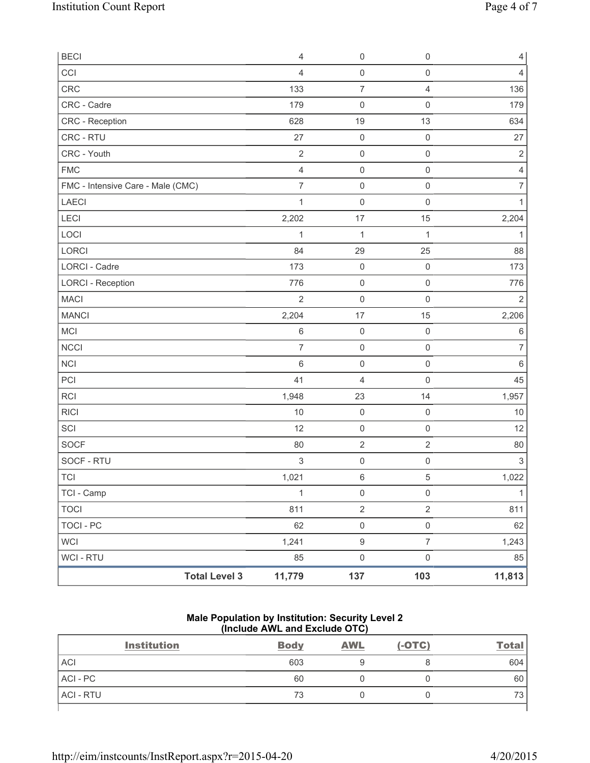| <b>BECI</b>                       | $\overline{4}$ | $\mathsf{O}\xspace$ | $\mathsf{O}\xspace$ | $\overline{4}$ |
|-----------------------------------|----------------|---------------------|---------------------|----------------|
| CCI                               | 4              | $\mathsf{O}\xspace$ | $\mathsf{O}\xspace$ | 4              |
| CRC                               | 133            | $\overline{7}$      | $\overline{4}$      | 136            |
| CRC - Cadre                       | 179            | $\mathsf{O}\xspace$ | $\mathbf 0$         | 179            |
| CRC - Reception                   | 628            | 19                  | 13                  | 634            |
| CRC - RTU                         | 27             | $\mathbf 0$         | $\mathsf{O}\xspace$ | 27             |
| CRC - Youth                       | $\sqrt{2}$     | $\mathsf{O}\xspace$ | $\mathsf 0$         | $\sqrt{2}$     |
| <b>FMC</b>                        | $\overline{4}$ | $\mathsf{O}\xspace$ | $\mathsf{O}\xspace$ | $\overline{4}$ |
| FMC - Intensive Care - Male (CMC) | $\overline{7}$ | $\mathbf 0$         | $\mathsf{O}\xspace$ | $\overline{7}$ |
| LAECI                             | $\mathbf{1}$   | $\mathbf 0$         | $\mathsf{O}\xspace$ | 1              |
| LECI                              | 2,202          | 17                  | 15                  | 2,204          |
| LOCI                              | $\mathbf 1$    | $\mathbf{1}$        | $\mathbf{1}$        | $\mathbf{1}$   |
| LORCI                             | 84             | 29                  | 25                  | 88             |
| <b>LORCI - Cadre</b>              | 173            | $\mathbf 0$         | $\mathbf 0$         | 173            |
| <b>LORCI - Reception</b>          | 776            | $\mathsf{O}\xspace$ | $\mathsf{O}\xspace$ | 776            |
| <b>MACI</b>                       | $\overline{2}$ | $\mathsf{O}\xspace$ | $\mathsf{O}\xspace$ | $\overline{2}$ |
| <b>MANCI</b>                      | 2,204          | 17                  | 15                  | 2,206          |
| MCI                               | $\,$ 6 $\,$    | $\mathbf 0$         | $\mathsf{O}\xspace$ | 6              |
| <b>NCCI</b>                       | $\overline{7}$ | $\mathsf{O}\xspace$ | $\mathsf 0$         | $\overline{7}$ |
| NCI                               | $\,6$          | $\mathsf{O}\xspace$ | $\mathsf{O}\xspace$ | 6              |
| PCI                               | 41             | 4                   | $\mathbf 0$         | 45             |
| <b>RCI</b>                        | 1,948          | 23                  | 14                  | 1,957          |
| <b>RICI</b>                       | 10             | $\mathbf 0$         | $\mathsf 0$         | 10             |
| SCI                               | 12             | $\mathsf{O}\xspace$ | $\mathsf{O}\xspace$ | 12             |
| SOCF                              | 80             | $\overline{c}$      | $\overline{2}$      | 80             |
| SOCF - RTU                        | 3              | $\mathsf{O}\xspace$ | $\mathsf 0$         | $\sqrt{3}$     |
| <b>TCI</b>                        | 1,021          | 6                   | $\sqrt{5}$          | 1,022          |
| TCI - Camp                        | $\mathbf{1}$   | $\mathsf{O}\xspace$ | $\mathsf 0$         | $\mathbf{1}$   |
| <b>TOCI</b>                       | 811            | $\overline{2}$      | $\overline{2}$      | 811            |
| TOCI - PC                         | 62             | $\mathsf{O}\xspace$ | $\mathsf{O}\xspace$ | 62             |
| WCI                               | 1,241          | $\hbox{9}$          | $\overline{7}$      | 1,243          |
| WCI - RTU                         | 85             | $\mathsf{O}\xspace$ | $\mathsf{O}\xspace$ | 85             |
| <b>Total Level 3</b>              | 11,779         | 137                 | 103                 | 11,813         |

## **Male Population by Institution: Security Level 2 (Include AWL and Exclude OTC)**

| <b>Institution</b> | <b>Body</b> | <b>AWL</b> | $(-OTC)$ | <b>Total</b> |
|--------------------|-------------|------------|----------|--------------|
| <b>ACI</b>         | 603         |            |          | 604          |
| ACI - PC           | 60          |            |          | 60           |
| <b>ACI - RTU</b>   | 73          |            |          | 70<br>ూ      |
|                    |             |            |          |              |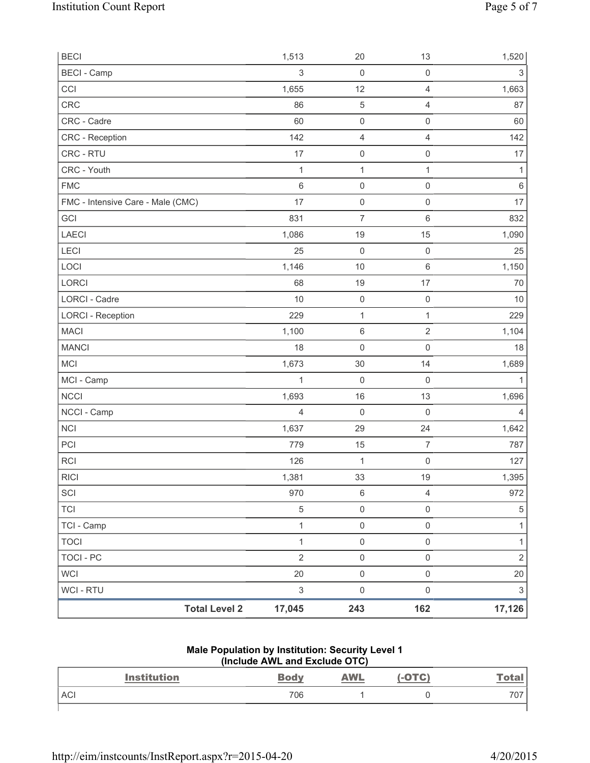| <b>BECI</b>                       | 1,513                     | 20                  | 13                      | 1,520                     |
|-----------------------------------|---------------------------|---------------------|-------------------------|---------------------------|
| <b>BECI</b> - Camp                | $\sqrt{3}$                | $\mathbf 0$         | $\mathsf 0$             | $\ensuremath{\mathsf{3}}$ |
| CCI                               | 1,655                     | 12                  | $\overline{4}$          | 1,663                     |
| CRC                               | 86                        | $\sqrt{5}$          | $\overline{4}$          | 87                        |
| CRC - Cadre                       | 60                        | $\mathsf{O}\xspace$ | $\mathsf{O}\xspace$     | 60                        |
| CRC - Reception                   | 142                       | $\overline{4}$      | $\overline{4}$          | 142                       |
| CRC - RTU                         | 17                        | $\mathsf{O}\xspace$ | $\mathsf 0$             | 17                        |
| CRC - Youth                       | 1                         | $\mathbf{1}$        | 1                       | 1                         |
| <b>FMC</b>                        | $6\,$                     | $\mathsf{O}\xspace$ | $\mathsf 0$             | 6                         |
| FMC - Intensive Care - Male (CMC) | 17                        | $\mathsf{O}\xspace$ | $\mathsf{O}\xspace$     | 17                        |
| GCI                               | 831                       | $\overline{7}$      | 6                       | 832                       |
| <b>LAECI</b>                      | 1,086                     | 19                  | 15                      | 1,090                     |
| <b>LECI</b>                       | 25                        | $\mathsf{O}\xspace$ | $\mathbf 0$             | 25                        |
| LOCI                              | 1,146                     | 10                  | $\,6\,$                 | 1,150                     |
| <b>LORCI</b>                      | 68                        | 19                  | 17                      | 70                        |
| LORCI - Cadre                     | 10                        | $\mathsf{O}\xspace$ | $\mathbf 0$             | 10                        |
| <b>LORCI - Reception</b>          | 229                       | $\mathbf 1$         | $\mathbf{1}$            | 229                       |
| <b>MACI</b>                       | 1,100                     | $\,6\,$             | $\overline{2}$          | 1,104                     |
| <b>MANCI</b>                      | 18                        | $\mathsf{O}\xspace$ | $\mathsf 0$             | 18                        |
| <b>MCI</b>                        | 1,673                     | 30                  | 14                      | 1,689                     |
| MCI - Camp                        | 1                         | $\mathbf 0$         | $\mathbf 0$             |                           |
| <b>NCCI</b>                       | 1,693                     | 16                  | 13                      | 1,696                     |
| NCCI - Camp                       | $\overline{4}$            | $\mathsf{O}\xspace$ | $\mathbf 0$             | $\overline{4}$            |
| NCI                               | 1,637                     | 29                  | 24                      | 1,642                     |
| PCI                               | 779                       | 15                  | 7                       | 787                       |
| RCI                               | 126                       | $\mathbf 1$         | $\mathbf 0$             | 127                       |
| <b>RICI</b>                       | 1,381                     | 33                  | 19                      | 1,395                     |
| SCI                               | 970                       | $\,6\,$             | $\overline{\mathbf{4}}$ | 972                       |
| <b>TCI</b>                        | $\sqrt{5}$                | $\mathsf{O}\xspace$ | $\mathsf 0$             | $\sqrt{5}$                |
| TCI - Camp                        | 1                         | $\mathsf{O}\xspace$ | $\mathsf{O}\xspace$     | 1                         |
| <b>TOCI</b>                       | $\mathbf{1}$              | $\mathsf{O}\xspace$ | 0                       | $\mathbf{1}$              |
| <b>TOCI - PC</b>                  | $\overline{2}$            | $\mathsf{O}\xspace$ | $\mathsf{O}\xspace$     | $\overline{2}$            |
| <b>WCI</b>                        | 20                        | $\mathsf{O}\xspace$ | $\mathsf{O}\xspace$     | 20                        |
| WCI - RTU                         | $\ensuremath{\mathsf{3}}$ | $\mathsf{O}\xspace$ | $\mathsf 0$             | 3                         |
| <b>Total Level 2</b>              | 17,045                    | 243                 | 162                     | 17,126                    |

#### **Male Population by Institution: Security Level 1 (Include AWL and Exclude OTC)**

| <b>Institution</b> | <b>Body</b> | <b>AWL</b> | .-OTC) | <u>Total</u> |
|--------------------|-------------|------------|--------|--------------|
| <b>ACI</b>         | 706         |            |        | 707          |
|                    |             |            |        |              |